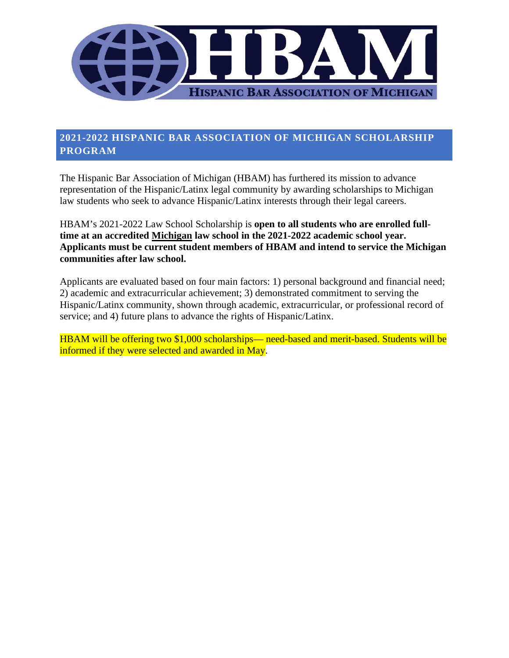

# **2021-2022 HISPANIC BAR ASSOCIATION OF MICHIGAN SCHOLARSHIP PROGRAM**

The Hispanic Bar Association of Michigan (HBAM) has furthered its mission to advance representation of the Hispanic/Latinx legal community by awarding scholarships to Michigan law students who seek to advance Hispanic/Latinx interests through their legal careers.

HBAM's 2021-2022 Law School Scholarship is **open to all students who are enrolled fulltime at an accredited Michigan law school in the 2021-2022 academic school year. Applicants must be current student members of HBAM and intend to service the Michigan communities after law school.** 

Applicants are evaluated based on four main factors: 1) personal background and financial need; 2) academic and extracurricular achievement; 3) demonstrated commitment to serving the Hispanic/Latinx community, shown through academic, extracurricular, or professional record of service; and 4) future plans to advance the rights of Hispanic/Latinx.

HBAM will be offering two \$1,000 scholarships— need-based and merit-based. Students will be informed if they were selected and awarded in May.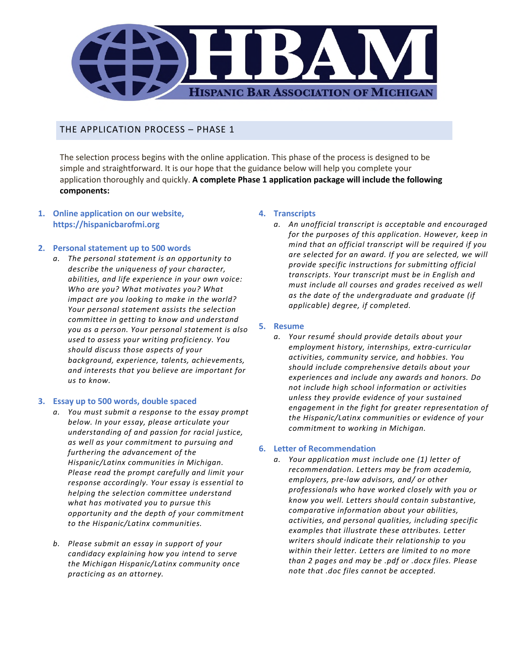

THE APPLICATION PROCESS – PHASE 1

The selection process begins with the online application. This phase of the process is designed to be simple and straightforward. It is our hope that the guidance below will help you complete your application thoroughly and quickly. **A complete Phase 1 application package will include the following components:** 

**1. Online application on our website, https://hispanicbarofmi.org** 

#### **2. Personal statement up to 500 words**

*a. The personal statement is an opportunity to describe the uniqueness of your character, abilities, and life experience in your own voice: Who are you? What motivates you? What impact are you looking to make in the world? Your personal statement assists the selection committee in getting to know and understand you as a person. Your personal statement is also used to assess your writing proficiency. You should discuss those aspects of your background, experience, talents, achievements, and interests that you believe are important for us to know.* 

#### **3. Essay up to 500 words, double spaced**

- *a. You must submit a response to the essay prompt below. In your essay, please articulate your understanding of and passion for racial justice, as well as your commitment to pursuing and furthering the advancement of the Hispanic/Latinx communities in Michigan. Please read the prompt carefully and limit your response accordingly. Your essay is essential to helping the selection committee understand what has motivated you to pursue this opportunity and the depth of your commitment to the Hispanic/Latinx communities.*
- *b. Please submit an essay in support of your candidacy explaining how you intend to serve the Michigan Hispanic/Latinx community once practicing as an attorney.*

#### **4. Transcripts**

*a. An unofficial transcript is acceptable and encouraged for the purposes of this application. However, keep in mind that an official transcript will be required if you are selected for an award. If you are selected, we will provide specific instructions for submitting official transcripts. Your transcript must be in English and must include all courses and grades received as well as the date of the undergraduate and graduate (if applicable) degree, if completed.* 

#### **5. Resume**

*a. Your resumé́ should provide details about your employment history, internships, extra-curricular activities, community service, and hobbies. You should include comprehensive details about your experiences and include any awards and honors. Do not include high school information or activities unless they provide evidence of your sustained engagement in the fight for greater representation of the Hispanic/Latinx communities or evidence of your commitment to working in Michigan.* 

#### **6. Letter of Recommendation**

*a. Your application must include one (1) letter of recommendation. Letters may be from academia, employers, pre-law advisors, and/ or other professionals who have worked closely with you or know you well. Letters should contain substantive, comparative information about your abilities, activities, and personal qualities, including specific examples that illustrate these attributes. Letter writers should indicate their relationship to you within their letter. Letters are limited to no more than 2 pages and may be .pdf or .docx files. Please note that .doc files cannot be accepted.*